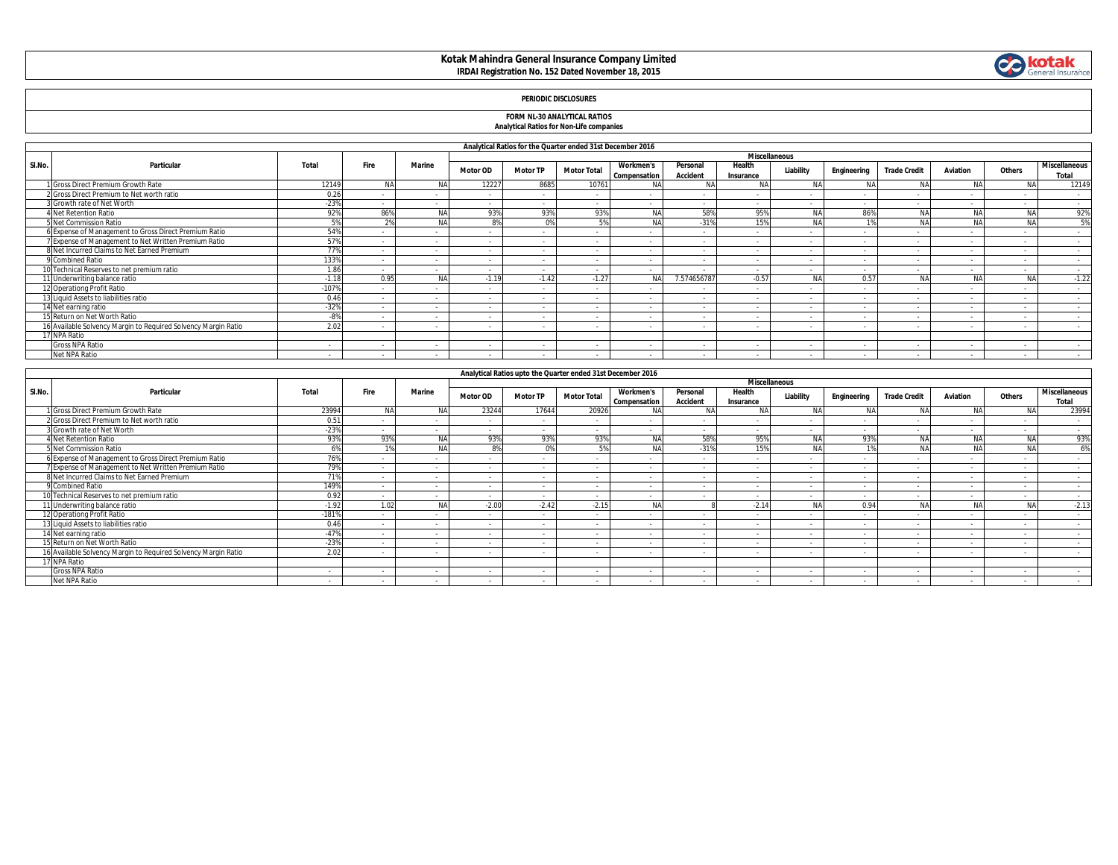### **Kotak Mahindra General Insurance Company Limited IRDAI Registration No. 152 Dated November 18, 2015**



# **FORM NL-30 ANALYTICAL RATIOS Analytical Ratios for Non-Life companies**

|       | Analytical Ratios for the Quarter ended 31st December 2016<br><b>Miscellaneous</b> |         |        |           |                 |                 |                                                             |                                  |                             |                          |                          |             |                     |           |           |                                      |
|-------|------------------------------------------------------------------------------------|---------|--------|-----------|-----------------|-----------------|-------------------------------------------------------------|----------------------------------|-----------------------------|--------------------------|--------------------------|-------------|---------------------|-----------|-----------|--------------------------------------|
| SI.No | Particular                                                                         | Total   | Fire   | Marine    | <b>Motor OD</b> | <b>Motor TP</b> | <b>Motor Total</b>                                          | <b>Workmen's</b><br>Compensation | Personal<br><b>Accident</b> | Health<br>Insurance      | Liability                | Engineering | <b>Trade Credit</b> | Aviation  | Others    | <b>Miscellaneous</b><br><b>Total</b> |
|       | Gross Direct Premium Growth Rate                                                   | 12149   | NA     | <b>NA</b> | 12227           | 8685            | 10761                                                       |                                  | N <sub>4</sub>              | <b>NA</b>                | <b>NA</b>                | NAI         | <b>NA</b>           | <b>NA</b> | <b>NA</b> | 12149                                |
|       | 2 Gross Direct Premium to Net worth ratio                                          | 0.26    |        |           | $\sim$          | $\sim$          | $\sim$                                                      | $\sim$                           | $\sim$                      | ۰.                       |                          | $\sim$      |                     | $\sim$    | $\sim$    | $\sim$                               |
|       | 3 Growth rate of Net Worth                                                         | $-239$  |        | $\sim$    |                 | $\sim$          | $\sim$                                                      | $\sim$                           |                             | $\overline{\phantom{a}}$ |                          |             |                     | $\sim$    | $\sim$    | $\sim$                               |
|       | <b>1 Net Retention Ratio</b>                                                       | 929     | 86%    | <b>NA</b> | 93%             | 93%             | 93%                                                         | NA                               | 58%                         | 95%                      | <b>NA</b>                | 86%         | NA                  |           | <b>NA</b> | 92%                                  |
|       | 5 Net Commission Ratio                                                             |         |        | <b>NA</b> | 8%              | 0%              | 5%                                                          | <b>NA</b>                        | $-31%$                      | 15%                      | <b>NA</b>                |             |                     |           | <b>NA</b> | 5%                                   |
|       | 6 Expense of Management to Gross Direct Premium Ratio                              | 549     |        |           |                 | $\sim$          | $\sim$                                                      | $\overline{\phantom{a}}$         |                             | $\sim$                   |                          |             |                     | $\sim$    | $\sim$    | $\sim$                               |
|       | Expense of Management to Net Written Premium Ratio                                 | 57%     |        | $\sim$    | $\sim$          | $\sim$          | $\overline{\phantom{a}}$                                    | $\sim$                           | $\overline{\phantom{a}}$    | $\sim$                   |                          |             |                     | $\sim$    | $\sim$    | $\sim$                               |
|       | 8 Net Incurred Claims to Net Earned Premium                                        | 779     |        |           |                 | $\sim$          | $\sim$                                                      | $\sim$                           |                             |                          |                          |             |                     | $\sim$    | $\sim$    | $\sim$                               |
|       | 9 Combined Ratio                                                                   | 1339    |        |           | $\sim$          | $\sim$          | $\sim$                                                      |                                  |                             |                          |                          |             |                     | $\sim$    | $\sim$    | $\sim$                               |
|       | 10 Technical Reserves to net premium ratio                                         | 1.86    |        |           |                 | $\sim$          | $\sim$                                                      |                                  |                             |                          |                          |             |                     | $\sim$    | $\sim$    | $\sim$                               |
|       | 11 Underwriting balance ratio                                                      | $-1.18$ | 0.95   | <b>NA</b> | $-1.19$         | $-1.42$         | $-1.27$                                                     | NA                               | 7.574656787                 | $-0.57$                  | <b>NA</b>                | 0.57        | <b>NA</b>           | <b>NA</b> | NA        | $-1.22$                              |
|       | 12 Operationg Profit Ratio                                                         | $-1079$ |        |           | $\sim$          | $\sim$          | $\sim$                                                      | $\sim$                           |                             |                          |                          | . п.        |                     | $\sim$    | $\sim$    | $\sim$                               |
|       | 13 Liquid Assets to liabilities ratio                                              | 0.46    | $\sim$ | $\sim$    | $\sim$          | $\sim$          | $\sim$                                                      | $\sim$                           | $\sim$                      | $\sim$                   | $\sim$                   | $\sim$      | $\sim$              | $\sim$    | $\sim$    | $\sim$                               |
|       | 14 Net earning ratio                                                               | $-329$  | $\sim$ | $\sim$    | $\sim$          | $\sim$          | $\sim$                                                      | $\sim$                           | $\overline{\phantom{a}}$    | $\overline{\phantom{a}}$ |                          |             |                     | $\sim$    | $\sim$    | <b>Service</b>                       |
|       | 15 Return on Net Worth Ratio                                                       | -89     | $\sim$ | $\sim$    | $\sim$          | $\sim$          | $\sim$                                                      | $\sim$                           | $\sim$                      | $\overline{\phantom{a}}$ | $\overline{\phantom{a}}$ |             | $\sim$              | $\sim$    | $\sim$    | $\sim$                               |
|       | 16 Available Solvency Margin to Reguired Solvency Margin Ratio                     | 2.02    |        |           |                 | $\sim$          | $\sim$                                                      |                                  |                             |                          |                          |             |                     | . .       | $\sim$    | $\sim$                               |
|       | 17 NPA Ratio                                                                       |         |        |           |                 |                 |                                                             |                                  |                             |                          |                          |             |                     |           |           |                                      |
|       | Gross NPA Ratio                                                                    | $\sim$  |        | $\sim$    |                 | $\sim$          | $\sim$                                                      | $\overline{\phantom{a}}$         |                             | $\overline{\phantom{a}}$ |                          |             | $\sim$              | $\sim$    | $\sim$    | $\sim$                               |
|       | Net NPA Ratio                                                                      | $\sim$  |        |           |                 | $\sim$          | $\sim$                                                      |                                  |                             |                          |                          |             |                     | $\sim$    | $\sim$    | $\sim$                               |
|       |                                                                                    |         |        |           |                 |                 |                                                             |                                  |                             |                          |                          |             |                     |           |           |                                      |
|       |                                                                                    |         |        |           |                 |                 | Applytical Paties unto the Quarter anded 21st Desember 2014 |                                  |                             |                          |                          |             |                     |           |           |                                      |

|                      |                                                                |         |             |                |                 | Analytical Katios upto the Quarter ended 3 ist December 2010 |                    |                                  |                             |                     |           |             |                     |                 |           |                               |
|----------------------|----------------------------------------------------------------|---------|-------------|----------------|-----------------|--------------------------------------------------------------|--------------------|----------------------------------|-----------------------------|---------------------|-----------|-------------|---------------------|-----------------|-----------|-------------------------------|
| <b>Miscellaneous</b> |                                                                |         |             |                |                 |                                                              |                    |                                  |                             |                     |           |             |                     |                 |           |                               |
| SI.No.               | Particular                                                     | Total   | <b>Fire</b> | <b>Marine</b>  | <b>Motor OD</b> | <b>Motor TP</b>                                              | <b>Motor Total</b> | <b>Workmen's</b><br>Compensation | Personal<br><b>Accident</b> | Health<br>Insurance | Liability | Engineering | <b>Trade Credit</b> | <b>Aviation</b> | Others    | <b>Miscellaneous</b><br>Total |
|                      | Gross Direct Premium Growth Rate                               | 23994   | <b>NA</b>   |                | 23244           | 17644                                                        | 20926              |                                  |                             |                     | Nl        | <b>NA</b>   | NΑ                  |                 | <b>NA</b> | 23994                         |
|                      | 2 Gross Direct Premium to Net worth ratio                      | 0.51    |             |                | $\sim$          | $\sim$                                                       |                    |                                  |                             | $\sim$              |           |             |                     | $\sim$          |           | $\sim$                        |
|                      | Growth rate of Net Worth                                       | $-23%$  |             |                | $\sim$          | $\sim$                                                       |                    | $\sim$                           |                             |                     |           |             |                     | $\sim$          |           | $\sim$                        |
|                      | 4 Net Retention Ratio                                          | 93%     | 93%         |                | 93%             | 93%                                                          | 93%                | <b>NA</b>                        | 58%                         | 95%                 | NΔ        | 93%         | NA                  | <b>AIA</b>      | <b>NA</b> | 93%                           |
|                      | Net Commission Ratio                                           |         |             |                |                 | በ%                                                           | EQ                 | <b>NA</b>                        | $-31%$                      | 15 <sup>c</sup>     |           |             |                     |                 | <b>NA</b> | 6%                            |
|                      | 6 Expense of Management to Gross Direct Premium Ratio          | 76%     |             |                |                 |                                                              |                    |                                  |                             |                     |           |             |                     |                 |           |                               |
|                      | 7 Expense of Management to Net Written Premium Ratio           | 79%     |             |                | $\sim$          |                                                              |                    |                                  | $\sim$                      |                     |           |             |                     | $\sim$          |           | $\sim$                        |
|                      | 8 Net Incurred Claims to Net Earned Premium                    | 71%     |             |                | $\sim$          | $\sim$                                                       |                    | $\sim$                           | . .                         | $\sim$              |           |             |                     | $\sim$          |           | $\sim$                        |
|                      | 9 Combined Ratio                                               | 149%    |             |                |                 | $\sim$                                                       |                    |                                  |                             |                     |           |             |                     | $\sim$          |           | $\sim$                        |
|                      | 10 Technical Reserves to net premium ratio                     | 0.92    |             |                |                 | $\sim$                                                       |                    |                                  |                             |                     |           |             |                     | $\sim$          |           | $\sim$                        |
|                      | 11 Underwriting balance ratio                                  | $-1.92$ | 1.02        | N <sub>1</sub> | $-2.00$         | $-2.42$                                                      | $-2.15$            | <b>NA</b>                        |                             | $-2.14$             | N/        | 0.94        | <b>NA</b>           |                 | <b>NA</b> | $-2.13$                       |
|                      | 12 Operationg Profit Ratio                                     | $-181%$ |             |                |                 | $\sim$                                                       |                    |                                  |                             |                     |           |             |                     | $\sim$          |           |                               |
|                      | 13 Liquid Assets to liabilities ratio                          | 0.46    |             |                | $\sim$          | $\sim$                                                       | $\sim$             | $\sim$                           | $\sim$                      | $\sim$              |           |             | $\sim$              | $\sim$          | $\sim$    | $\sim$                        |
|                      | 14 Net earning ratio                                           | $-47%$  |             |                |                 |                                                              |                    |                                  |                             |                     |           |             |                     | $\sim$          |           |                               |
|                      | 15 Return on Net Worth Ratio                                   | $-23%$  |             |                | $\sim$          | $\sim$                                                       |                    |                                  |                             |                     |           |             |                     | $\sim$          |           | $\sim$                        |
|                      | 16 Available Solvency Margin to Reguired Solvency Margin Ratio | 2.02    |             |                |                 |                                                              |                    |                                  |                             |                     |           |             |                     |                 |           |                               |
|                      | 17 NPA Ratio                                                   |         |             |                |                 |                                                              |                    |                                  |                             |                     |           |             |                     |                 |           |                               |
|                      | Gross NPA Ratio                                                | $\sim$  |             |                | $\sim$          | $\sim$                                                       |                    | $\sim$                           | $\overline{\phantom{a}}$    | ٠                   |           |             |                     | $\sim$          |           |                               |
|                      | Net NPA Ratio                                                  |         |             |                |                 |                                                              |                    |                                  |                             |                     |           |             |                     |                 |           |                               |